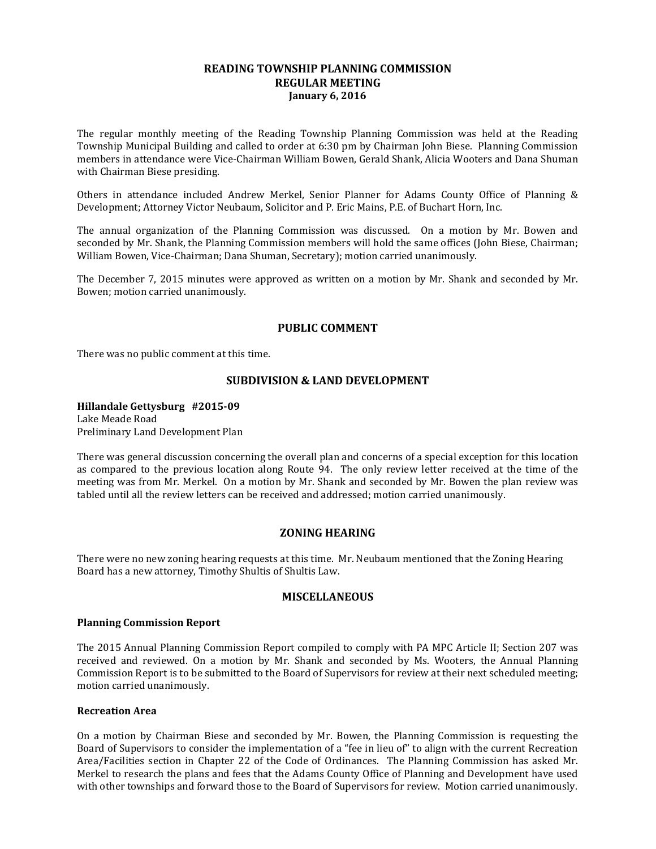# **READING TOWNSHIP PLANNING COMMISSION REGULAR MEETING January 6, 2016**

The regular monthly meeting of the Reading Township Planning Commission was held at the Reading Township Municipal Building and called to order at 6:30 pm by Chairman John Biese. Planning Commission members in attendance were Vice-Chairman William Bowen, Gerald Shank, Alicia Wooters and Dana Shuman with Chairman Biese presiding.

Others in attendance included Andrew Merkel, Senior Planner for Adams County Office of Planning & Development; Attorney Victor Neubaum, Solicitor and P. Eric Mains, P.E. of Buchart Horn, Inc.

The annual organization of the Planning Commission was discussed. On a motion by Mr. Bowen and seconded by Mr. Shank, the Planning Commission members will hold the same offices (John Biese, Chairman; William Bowen, Vice-Chairman; Dana Shuman, Secretary); motion carried unanimously.

The December 7, 2015 minutes were approved as written on a motion by Mr. Shank and seconded by Mr. Bowen; motion carried unanimously.

# **PUBLIC COMMENT**

There was no public comment at this time.

### **SUBDIVISION & LAND DEVELOPMENT**

**Hillandale Gettysburg #2015-09** Lake Meade Road Preliminary Land Development Plan

There was general discussion concerning the overall plan and concerns of a special exception for this location as compared to the previous location along Route 94. The only review letter received at the time of the meeting was from Mr. Merkel. On a motion by Mr. Shank and seconded by Mr. Bowen the plan review was tabled until all the review letters can be received and addressed; motion carried unanimously.

### **ZONING HEARING**

There were no new zoning hearing requests at this time. Mr. Neubaum mentioned that the Zoning Hearing Board has a new attorney, Timothy Shultis of Shultis Law.

### **MISCELLANEOUS**

### **Planning Commission Report**

The 2015 Annual Planning Commission Report compiled to comply with PA MPC Article II; Section 207 was received and reviewed. On a motion by Mr. Shank and seconded by Ms. Wooters, the Annual Planning Commission Report is to be submitted to the Board of Supervisors for review at their next scheduled meeting; motion carried unanimously.

### **Recreation Area**

On a motion by Chairman Biese and seconded by Mr. Bowen, the Planning Commission is requesting the Board of Supervisors to consider the implementation of a "fee in lieu of" to align with the current Recreation Area/Facilities section in Chapter 22 of the Code of Ordinances. The Planning Commission has asked Mr. Merkel to research the plans and fees that the Adams County Office of Planning and Development have used with other townships and forward those to the Board of Supervisors for review. Motion carried unanimously.